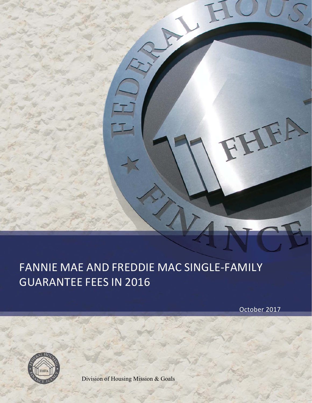# FANNIE MAE AND FREDDIE MAC SINGLE‐FAMILY GUARANTEE FEES IN 2016

October 2017

JEA

E



Division of Housing Mission & Goals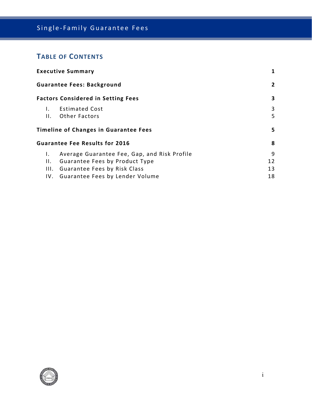# Single‐Family Guarantee Fees

# **TABLE OF CONTENTS**

| <b>Executive Summary</b>          |                                              |    |  |  |  |
|-----------------------------------|----------------------------------------------|----|--|--|--|
| <b>Guarantee Fees: Background</b> |                                              |    |  |  |  |
|                                   | <b>Factors Considered in Setting Fees</b>    | 3  |  |  |  |
| Ι.                                | <b>Estimated Cost</b>                        | 3  |  |  |  |
| Н.                                | <b>Other Factors</b>                         | 5  |  |  |  |
|                                   | <b>Timeline of Changes in Guarantee Fees</b> | 5. |  |  |  |
|                                   | <b>Guarantee Fee Results for 2016</b>        | 8  |  |  |  |
| Ι.                                | Average Guarantee Fee, Gap, and Risk Profile | 9  |  |  |  |
| Н.                                | Guarantee Fees by Product Type               | 12 |  |  |  |
| III.                              | Guarantee Fees by Risk Class                 | 13 |  |  |  |
|                                   | IV. Guarantee Fees by Lender Volume          | 18 |  |  |  |

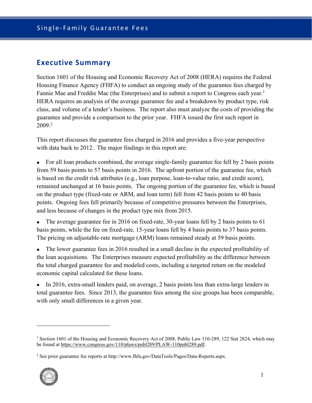## **Executive Summary**

Section 1601 of the Housing and Economic Recovery Act of 2008 (HERA) requires the Federal Housing Finance Agency (FHFA) to conduct an ongoing study of the guarantee fees charged by Fannie Mae and Freddie Mac (the Enterprises) and to submit a report to Congress each year.<sup>1</sup> HERA requires an analysis of the average guarantee fee and a breakdown by product type, risk class, and volume of a lender's business. The report also must analyze the costs of providing the guarantee and provide a comparison to the prior year. FHFA issued the first such report in 2009.2

This report discusses the guarantee fees charged in 2016 and provides a five-year perspective with data back to 2012. The major findings in this report are:

- For all loan products combined, the average single-family guarantee fee fell by 2 basis points from 59 basis points to 57 basis points in 2016. The upfront portion of the guarantee fee, which is based on the credit risk attributes (e.g., loan purpose, loan-to-value ratio, and credit score), remained unchanged at 16 basis points. The ongoing portion of the guarantee fee, which is based on the product type (fixed-rate or ARM, and loan term) fell from 42 basis points to 40 basis points. Ongoing fees fell primarily because of competitive pressures between the Enterprises, and less because of changes in the product type mix from 2015.
- The average guarantee fee in 2016 on fixed-rate, 30-year loans fell by 2 basis points to 61 basis points, while the fee on fixed-rate, 15-year loans fell by 4 basis points to 37 basis points. The pricing on adjustable-rate mortgage (ARM) loans remained steady at 59 basis points.
- The lower guarantee fees in 2016 resulted in a small decline in the expected profitability of the loan acquisitions. The Enterprises measure expected profitability as the difference between the total charged guarantee fee and modeled costs, including a targeted return on the modeled economic capital calculated for these loans.
- In 2016, extra-small lenders paid, on average, 2 basis points less than extra-large lenders in total guarantee fees. Since 2013, the guarantee fees among the size groups has been comparable, with only small differences in a given year.

<sup>&</sup>lt;sup>2</sup> See prior guarantee fee reports at http://www.fhfa.gov/DataTools/Pages/Data-Reports.aspx.



<sup>&</sup>lt;sup>1</sup> Section 1601 of the Housing and Economic Recovery Act of 2008, Public Law 110-289, 122 Stat 2824, which may be found at https://www.congress.gov/110/plaws/publ289/PLAW-110publ289.pdf.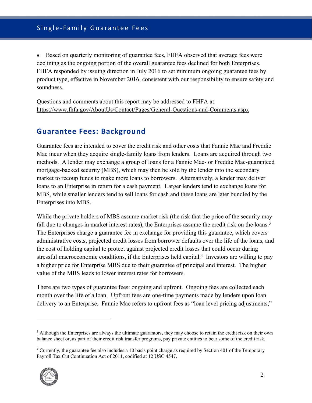Based on quarterly monitoring of guarantee fees, FHFA observed that average fees were declining as the ongoing portion of the overall guarantee fees declined for both Enterprises. FHFA responded by issuing direction in July 2016 to set minimum ongoing guarantee fees by product type, effective in November 2016, consistent with our responsibility to ensure safety and soundness.

Questions and comments about this report may be addressed to FHFA at: https://www.fhfa.gov/AboutUs/Contact/Pages/General-Questions-and-Comments.aspx

## **Guarantee Fees: Background**

Guarantee fees are intended to cover the credit risk and other costs that Fannie Mae and Freddie Mac incur when they acquire single-family loans from lenders. Loans are acquired through two methods. A lender may exchange a group of loans for a Fannie Mae- or Freddie Mac-guaranteed mortgage-backed security (MBS), which may then be sold by the lender into the secondary market to recoup funds to make more loans to borrowers. Alternatively, a lender may deliver loans to an Enterprise in return for a cash payment. Larger lenders tend to exchange loans for MBS, while smaller lenders tend to sell loans for cash and these loans are later bundled by the Enterprises into MBS.

While the private holders of MBS assume market risk (the risk that the price of the security may fall due to changes in market interest rates), the Enterprises assume the credit risk on the loans.<sup>3</sup> The Enterprises charge a guarantee fee in exchange for providing this guarantee, which covers administrative costs, projected credit losses from borrower defaults over the life of the loans, and the cost of holding capital to protect against projected credit losses that could occur during stressful macroeconomic conditions, if the Enterprises held capital.<sup>4</sup> Investors are willing to pay a higher price for Enterprise MBS due to their guarantee of principal and interest. The higher value of the MBS leads to lower interest rates for borrowers.

There are two types of guarantee fees: ongoing and upfront. Ongoing fees are collected each month over the life of a loan. Upfront fees are one-time payments made by lenders upon loan delivery to an Enterprise. Fannie Mae refers to upfront fees as "loan level pricing adjustments,"

<sup>&</sup>lt;sup>4</sup> Currently, the guarantee fee also includes a 10 basis point charge as required by Section 401 of the Temporary Payroll Tax Cut Continuation Act of 2011, codified at 12 USC 4547.



<sup>&</sup>lt;sup>3</sup> Although the Enterprises are always the ultimate guarantors, they may choose to retain the credit risk on their own balance sheet or, as part of their credit risk transfer programs, pay private entities to bear some of the credit risk.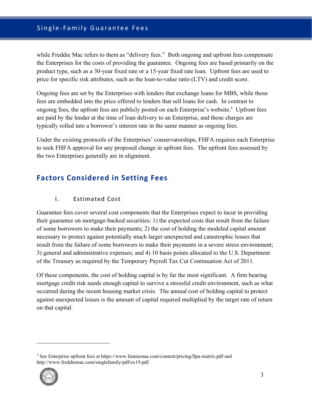while Freddie Mac refers to them as "delivery fees." Both ongoing and upfront fees compensate the Enterprises for the costs of providing the guarantee. Ongoing fees are based primarily on the product type, such as a 30-year fixed rate or a 15-year fixed rate loan. Upfront fees are used to price for specific risk attributes, such as the loan-to-value ratio (LTV) and credit score.

Ongoing fees are set by the Enterprises with lenders that exchange loans for MBS, while those fees are embedded into the price offered to lenders that sell loans for cash. In contrast to ongoing fees, the upfront fees are publicly posted on each Enterprise's website.<sup>5</sup> Upfront fees are paid by the lender at the time of loan delivery to an Enterprise, and those charges are typically rolled into a borrower's interest rate in the same manner as ongoing fees.

Under the existing protocols of the Enterprises' conservatorships, FHFA requires each Enterprise to seek FHFA approval for any proposed change in upfront fees. The upfront fees assessed by the two Enterprises generally are in alignment.

# **Factors Considered in Setting Fees**

## **I. Estimated Cost**

Guarantee fees cover several cost components that the Enterprises expect to incur in providing their guarantee on mortgage-backed securities: 1) the expected costs that result from the failure of some borrowers to make their payments; 2) the cost of holding the modeled capital amount necessary to protect against potentially much larger unexpected and catastrophic losses that result from the failure of some borrowers to make their payments in a severe stress environment; 3) general and administrative expenses; and 4) 10 basis points allocated to the U.S. Department of the Treasury as required by the Temporary Payroll Tax Cut Continuation Act of 2011.

Of these components, the cost of holding capital is by far the most significant. A firm bearing mortgage credit risk needs enough capital to survive a stressful credit environment, such as what occurred during the recent housing market crisis. The annual cost of holding capital to protect against unexpected losses is the amount of capital required multiplied by the target rate of return on that capital.

<sup>&</sup>lt;sup>5</sup> See Enterprise upfront fees at https://www.fanniemae.com/content/pricing/llpa-matrix.pdf and http://www.freddiemac.com/singlefamily/pdf/ex19.pdf.

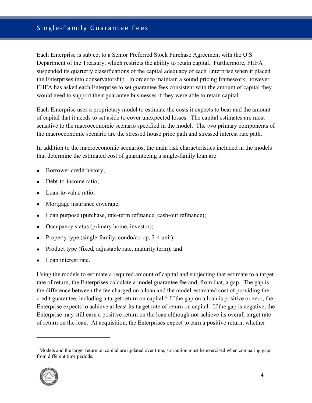## Single‐Family Guarantee Fees

Each Enterprise is subject to a Senior Preferred Stock Purchase Agreement with the U.S. Department of the Treasury, which restricts the ability to retain capital. Furthermore, FHFA suspended its quarterly classifications of the capital adequacy of each Enterprise when it placed the Enterprises into conservatorship. In order to maintain a sound pricing framework, however FHFA has asked each Enterprise to set guarantee fees consistent with the amount of capital they would need to support their guarantee businesses if they were able to retain capital.

Each Enterprise uses a proprietary model to estimate the costs it expects to bear and the amount of capital that it needs to set aside to cover unexpected losses. The capital estimates are most sensitive to the macroeconomic scenario specified in the model. The two primary components of the macroeconomic scenario are the stressed house price path and stressed interest rate path.

In addition to the macroeconomic scenarios, the main risk characteristics included in the models that determine the estimated cost of guaranteeing a single-family loan are:

- Borrower credit history;
- Debt-to-income ratio;
- Loan-to-value ratio;
- Mortgage insurance coverage;
- Loan purpose (purchase, rate-term refinance, cash-out refinance);
- Occupancy status (primary home, investor);
- Property type (single-family, condo/co-op, 2-4 unit);
- Product type (fixed, adjustable rate, maturity term); and
- Loan interest rate.

Using the models to estimate a required amount of capital and subjecting that estimate to a target rate of return, the Enterprises calculate a model guarantee fee and, from that, a gap. The gap is the difference between the fee charged on a loan and the model-estimated cost of providing the credit guarantee, including a target return on capital.<sup>6</sup> If the gap on a loan is positive or zero, the Enterprise expects to achieve at least its target rate of return on capital. If the gap is negative, the Enterprise may still earn a positive return on the loan although not achieve its overall target rate of return on the loan. At acquisition, the Enterprises expect to earn a positive return, whether

<sup>&</sup>lt;sup>6</sup> Models and the target return on capital are updated over time, so caution must be exercised when comparing gaps from different time periods.



1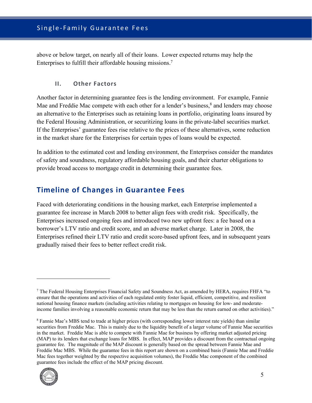above or below target, on nearly all of their loans. Lower expected returns may help the Enterprises to fulfill their affordable housing missions.7

#### **II. Other Factors**

Another factor in determining guarantee fees is the lending environment. For example, Fannie Mae and Freddie Mac compete with each other for a lender's business, $\frac{8}{3}$  and lenders may choose an alternative to the Enterprises such as retaining loans in portfolio, originating loans insured by the Federal Housing Administration, or securitizing loans in the private-label securities market. If the Enterprises' guarantee fees rise relative to the prices of these alternatives, some reduction in the market share for the Enterprises for certain types of loans would be expected.

In addition to the estimated cost and lending environment, the Enterprises consider the mandates of safety and soundness, regulatory affordable housing goals, and their charter obligations to provide broad access to mortgage credit in determining their guarantee fees.

## **Timeline of Changes in Guarantee Fees**

Faced with deteriorating conditions in the housing market, each Enterprise implemented a guarantee fee increase in March 2008 to better align fees with credit risk. Specifically, the Enterprises increased ongoing fees and introduced two new upfront fees: a fee based on a borrower's LTV ratio and credit score, and an adverse market charge. Later in 2008, the Enterprises refined their LTV ratio and credit score-based upfront fees, and in subsequent years gradually raised their fees to better reflect credit risk.

<sup>&</sup>lt;sup>8</sup> Fannie Mae's MBS tend to trade at higher prices (with corresponding lower interest rate yields) than similar securities from Freddie Mac. This is mainly due to the liquidity benefit of a larger volume of Fannie Mae securities in the market. Freddie Mac is able to compete with Fannie Mae for business by offering market adjusted pricing (MAP) to its lenders that exchange loans for MBS. In effect, MAP provides a discount from the contractual ongoing guarantee fee. The magnitude of the MAP discount is generally based on the spread between Fannie Mae and Freddie Mac MBS. While the guarantee fees in this report are shown on a combined basis (Fannie Mae and Freddie Mac fees together weighted by the respective acquisition volumes), the Freddie Mac component of the combined guarantee fees include the effect of the MAP pricing discount.



<sup>&</sup>lt;sup>7</sup> The Federal Housing Enterprises Financial Safety and Soundness Act, as amended by HERA, requires FHFA "to ensure that the operations and activities of each regulated entity foster liquid, efficient, competitive, and resilient national housing finance markets (including activities relating to mortgages on housing for low- and moderateincome families involving a reasonable economic return that may be less than the return earned on other activities)."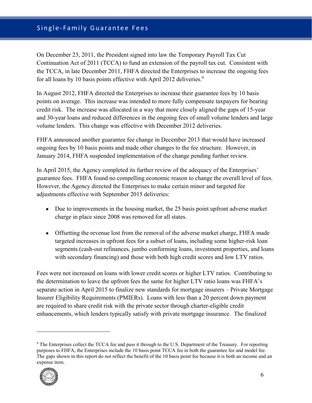## Single‐Family Guarantee Fees

On December 23, 2011, the President signed into law the Temporary Payroll Tax Cut Continuation Act of 2011 (TCCA) to fund an extension of the payroll tax cut. Consistent with the TCCA, in late December 2011, FHFA directed the Enterprises to increase the ongoing fees for all loans by 10 basis points effective with April 2012 deliveries.<sup>9</sup>

In August 2012, FHFA directed the Enterprises to increase their guarantee fees by 10 basis points on average. This increase was intended to more fully compensate taxpayers for bearing credit risk. The increase was allocated in a way that more closely aligned the gaps of 15-year and 30-year loans and reduced differences in the ongoing fees of small volume lenders and large volume lenders. This change was effective with December 2012 deliveries.

FHFA announced another guarantee fee change in December 2013 that would have increased ongoing fees by 10 basis points and made other changes to the fee structure. However, in January 2014, FHFA suspended implementation of the change pending further review.

In April 2015, the Agency completed its further review of the adequacy of the Enterprises' guarantee fees. FHFA found no compelling economic reason to change the overall level of fees. However, the Agency directed the Enterprises to make certain minor and targeted fee adjustments effective with September 2015 deliveries:

- Due to improvements in the housing market, the 25 basis point upfront adverse market charge in place since 2008 was removed for all states.
- Offsetting the revenue lost from the removal of the adverse market charge, FHFA made targeted increases in upfront fees for a subset of loans, including some higher-risk loan segments (cash-out refinances, jumbo conforming loans, investment properties, and loans with secondary financing) and those with both high credit scores and low LTV ratios.

Fees were not increased on loans with lower credit scores or higher LTV ratios. Contributing to the determination to leave the upfront fees the same for higher LTV ratio loans was FHFA's separate action in April 2015 to finalize new standards for mortgage insurers – Private Mortgage Insurer Eligibility Requirements (PMIERs). Loans with less than a 20 percent down payment are required to share credit risk with the private sector through charter-eligible credit enhancements, which lenders typically satisfy with private mortgage insurance. The finalized

<sup>&</sup>lt;sup>9</sup> The Enterprises collect the TCCA fee and pass it through to the U.S. Department of the Treasury. For reporting purposes to FHFA, the Enterprises include the 10 basis point TCCA fee in both the guarantee fee and model fee. The gaps shown in this report do not reflect the benefit of the 10 basis point fee because it is both an income and an expense item.

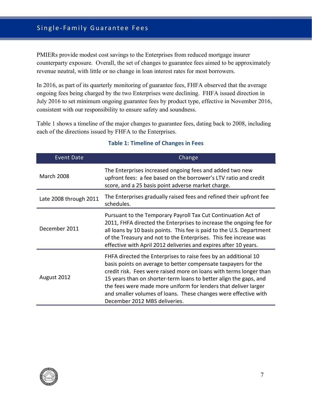PMIERs provide modest cost savings to the Enterprises from reduced mortgage insurer counterparty exposure. Overall, the set of changes to guarantee fees aimed to be approximately revenue neutral, with little or no change in loan interest rates for most borrowers.

In 2016, as part of its quarterly monitoring of guarantee fees, FHFA observed that the average ongoing fees being charged by the two Enterprises were declining. FHFA issued direction in July 2016 to set minimum ongoing guarantee fees by product type, effective in November 2016, consistent with our responsibility to ensure safety and soundness.

Table 1 shows a timeline of the major changes to guarantee fees, dating back to 2008, including each of the directions issued by FHFA to the Enterprises.

| <b>Event Date</b>      | Change                                                                                                                                                                                                                                                                                                                                                                                                                                              |  |  |  |  |  |
|------------------------|-----------------------------------------------------------------------------------------------------------------------------------------------------------------------------------------------------------------------------------------------------------------------------------------------------------------------------------------------------------------------------------------------------------------------------------------------------|--|--|--|--|--|
| <b>March 2008</b>      | The Enterprises increased ongoing fees and added two new<br>upfront fees: a fee based on the borrower's LTV ratio and credit<br>score, and a 25 basis point adverse market charge.                                                                                                                                                                                                                                                                  |  |  |  |  |  |
| Late 2008 through 2011 | The Enterprises gradually raised fees and refined their upfront fee<br>schedules.                                                                                                                                                                                                                                                                                                                                                                   |  |  |  |  |  |
| December 2011          | Pursuant to the Temporary Payroll Tax Cut Continuation Act of<br>2011, FHFA directed the Enterprises to increase the ongoing fee for<br>all loans by 10 basis points. This fee is paid to the U.S. Department<br>of the Treasury and not to the Enterprises. This fee increase was<br>effective with April 2012 deliveries and expires after 10 years.                                                                                              |  |  |  |  |  |
| August 2012            | FHFA directed the Enterprises to raise fees by an additional 10<br>basis points on average to better compensate taxpayers for the<br>credit risk. Fees were raised more on loans with terms longer than<br>15 years than on shorter-term loans to better align the gaps, and<br>the fees were made more uniform for lenders that deliver larger<br>and smaller volumes of loans. These changes were effective with<br>December 2012 MBS deliveries. |  |  |  |  |  |

#### **Table 1: Timeline of Changes in Fees**

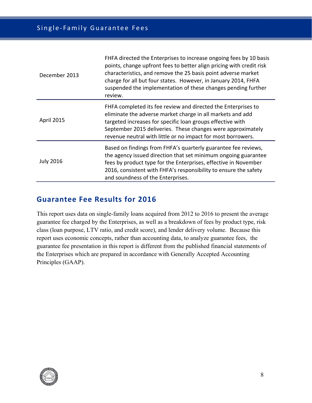| December 2013    | FHFA directed the Enterprises to increase ongoing fees by 10 basis<br>points, change upfront fees to better align pricing with credit risk<br>characteristics, and remove the 25 basis point adverse market<br>charge for all but four states. However, in January 2014, FHFA<br>suspended the implementation of these changes pending further<br>review. |
|------------------|-----------------------------------------------------------------------------------------------------------------------------------------------------------------------------------------------------------------------------------------------------------------------------------------------------------------------------------------------------------|
| April 2015       | FHFA completed its fee review and directed the Enterprises to<br>eliminate the adverse market charge in all markets and add<br>targeted increases for specific loan groups effective with<br>September 2015 deliveries. These changes were approximately<br>revenue neutral with little or no impact for most borrowers.                                  |
| <b>July 2016</b> | Based on findings from FHFA's quarterly guarantee fee reviews,<br>the agency issued direction that set minimum ongoing guarantee<br>fees by product type for the Enterprises, effective in November<br>2016, consistent with FHFA's responsibility to ensure the safety<br>and soundness of the Enterprises.                                              |

# **Guarantee Fee Results for 2016**

This report uses data on single-family loans acquired from 2012 to 2016 to present the average guarantee fee charged by the Enterprises, as well as a breakdown of fees by product type, risk class (loan purpose, LTV ratio, and credit score), and lender delivery volume. Because this report uses economic concepts, rather than accounting data, to analyze guarantee fees, the guarantee fee presentation in this report is different from the published financial statements of the Enterprises which are prepared in accordance with Generally Accepted Accounting Principles (GAAP).

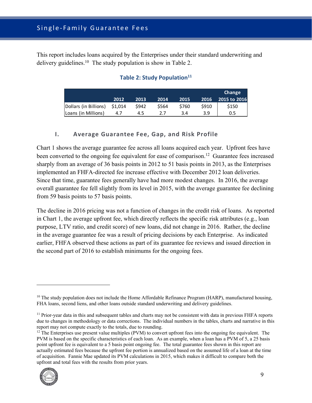This report includes loans acquired by the Enterprises under their standard underwriting and delivery guidelines.<sup>10</sup> The study population is show in Table 2.

## **Table 2: Study Population**<sup>11</sup>

|                       |         |       |       |       |             | Change       |
|-----------------------|---------|-------|-------|-------|-------------|--------------|
|                       | 2012    | 2013  | 2014  | 2015  | 2016        | 2015 to 2016 |
| Dollars (in Billions) | \$1,014 | \$942 | \$564 | \$760 | <b>S910</b> | \$150        |
| Loans (in Millions)   | 4.7     | 4.5   |       | 3.4   | 3.9         | 0.5          |

### **I. Average Guarantee Fee, Gap, and Risk Profile**

Chart 1 shows the average guarantee fee across all loans acquired each year. Upfront fees have been converted to the ongoing fee equivalent for ease of comparison.<sup>12</sup> Guarantee fees increased sharply from an average of 36 basis points in 2012 to 51 basis points in 2013, as the Enterprises implemented an FHFA-directed fee increase effective with December 2012 loan deliveries. Since that time, guarantee fees generally have had more modest changes. In 2016, the average overall guarantee fee fell slightly from its level in 2015, with the average guarantee fee declining from 59 basis points to 57 basis points.

The decline in 2016 pricing was not a function of changes in the credit risk of loans. As reported in Chart 1, the average upfront fee, which directly reflects the specific risk attributes (e.g., loan purpose, LTV ratio, and credit score) of new loans, did not change in 2016. Rather, the decline in the average guarantee fee was a result of pricing decisions by each Enterprise. As indicated earlier, FHFA observed these actions as part of its guarantee fee reviews and issued direction in the second part of 2016 to establish minimums for the ongoing fees.

 $12$  The Enterprises use present value multiples (PVM) to convert upfront fees into the ongoing fee equivalent. The PVM is based on the specific characteristics of each loan. As an example, when a loan has a PVM of 5, a 25 basis point upfront fee is equivalent to a 5 basis point ongoing fee. The total guarantee fees shown in this report are actually estimated fees because the upfront fee portion is annualized based on the assumed life of a loan at the time of acquisition. Fannie Mae updated its PVM calculations in 2015, which makes it difficult to compare both the upfront and total fees with the results from prior years.



 $10$  The study population does not include the Home Affordable Refinance Program (HARP), manufactured housing, FHA loans, second liens, and other loans outside standard underwriting and delivery guidelines.

<sup>&</sup>lt;sup>11</sup> Prior-year data in this and subsequent tables and charts may not be consistent with data in previous FHFA reports due to changes in methodology or data corrections. The individual numbers in the tables, charts and narrative in this report may not compute exactly to the totals, due to rounding.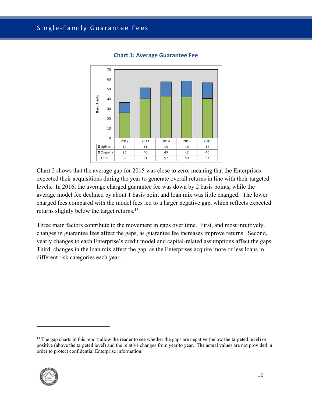

**Chart 1: Average Guarantee Fee** 

Chart 2 shows that the average gap for 2015 was close to zero, meaning that the Enterprises expected their acquisitions during the year to generate overall returns in line with their targeted levels. In 2016, the average charged guarantee fee was down by 2 basis points, while the average model fee declined by about 1 basis point and loan mix was little changed. The lower charged fees compared with the model fees led to a larger negative gap, which reflects expected returns slightly below the target returns.13

Three main factors contribute to the movement in gaps over time. First, and most intuitively, changes in guarantee fees affect the gaps, as guarantee fee increases improve returns. Second, yearly changes to each Enterprise's credit model and capital-related assumptions affect the gaps. Third, changes in the loan mix affect the gap, as the Enterprises acquire more or less loans in different risk categories each year.

<sup>&</sup>lt;sup>13</sup> The gap charts in this report allow the reader to see whether the gaps are negative (below the targeted level) or positive (above the targeted level) and the relative changes from year to year. The actual values are not provided in order to protect confidential Enterprise information.



-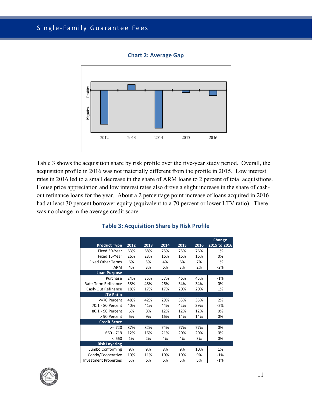

**Chart 2: Average Gap** 

Table 3 shows the acquisition share by risk profile over the five-year study period. Overall, the acquisition profile in 2016 was not materially different from the profile in 2015. Low interest rates in 2016 led to a small decrease in the share of ARM loans to 2 percent of total acquisitions. House price appreciation and low interest rates also drove a slight increase in the share of cashout refinance loans for the year. About a 2 percentage point increase of loans acquired in 2016 had at least 30 percent borrower equity (equivalent to a 70 percent or lower LTV ratio). There was no change in the average credit score.

|                              |      |      |      |      |      | <b>Change</b> |
|------------------------------|------|------|------|------|------|---------------|
| <b>Product Type</b>          | 2012 | 2013 | 2014 | 2015 | 2016 | 2015 to 2016  |
| Fixed 30-Year                | 63%  | 68%  | 75%  | 75%  | 76%  | 1%            |
| Fixed 15-Year                | 26%  | 23%  | 16%  | 16%  | 16%  | 0%            |
| <b>Fixed Other Terms</b>     | 6%   | 5%   | 4%   | 6%   | 7%   | 1%            |
| <b>ARM</b>                   | 4%   | 3%   | 6%   | 3%   | 2%   | $-2%$         |
| <b>Loan Purpose</b>          |      |      |      |      |      |               |
| Purchase                     | 24%  | 35%  | 57%  | 46%  | 45%  | $-1%$         |
| Rate-Term Refinance          | 58%  | 48%  | 26%  | 34%  | 34%  | 0%            |
| Cash-Out Refinance           | 18%  | 17%  | 17%  | 20%  | 20%  | 1%            |
| <b>LTV Ratio</b>             |      |      |      |      |      |               |
| <=70 Percent                 | 48%  | 42%  | 29%  | 33%  | 35%  | 2%            |
| 70.1 - 80 Percent            | 40%  | 41%  | 44%  | 42%  | 39%  | $-2%$         |
| 80.1 - 90 Percent            | 6%   | 8%   | 12%  | 12%  | 12%  | 0%            |
| > 90 Percent                 | 6%   | 9%   | 16%  | 14%  | 14%  | 0%            |
| <b>Credit Score</b>          |      |      |      |      |      |               |
| $>= 720$                     | 87%  | 82%  | 74%  | 77%  | 77%  | 0%            |
| $660 - 719$                  | 12%  | 16%  | 21%  | 20%  | 20%  | 0%            |
| <660                         | 1%   | 2%   | 4%   | 4%   | 3%   | 0%            |
| <b>Risk Layering</b>         |      |      |      |      |      |               |
| Jumbo Conforming             | 9%   | 9%   | 8%   | 9%   | 10%  | 1%            |
| Condo/Cooperative            | 10%  | 11%  | 10%  | 10%  | 9%   | $-1%$         |
| <b>Investment Properties</b> | 5%   | 6%   | 6%   | 5%   | 5%   | $-1%$         |

#### **Table 3: Acquisition Share by Risk Profile**

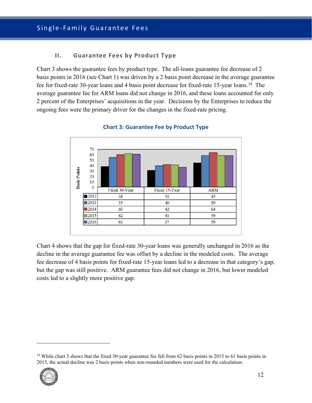## **II. Guarantee Fees by Product Type**

Chart 3 shows the guarantee fees by product type. The all-loans guarantee fee decrease of 2 basis points in 2016 (see Chart 1) was driven by a 2 basis point decrease in the average guarantee fee for fixed-rate 30-year loans and 4 basis point decrease for fixed-rate 15-year loans.14 The average guarantee fee for ARM loans did not change in 2016, and these loans accounted for only 2 percent of the Enterprises' acquisitions in the year. Decisions by the Enterprises to reduce the ongoing fees were the primary driver for the changes in the fixed-rate pricing.



#### **Chart 3: Guarantee Fee by Product Type**

Chart 4 shows that the gap for fixed-rate 30-year loans was generally unchanged in 2016 as the decline in the average guarantee fee was offset by a decline in the modeled costs. The average fee decrease of 4 basis points for fixed-rate 15-year loans led to a decrease in that category's gap, but the gap was still positive. ARM guarantee fees did not change in 2016, but lower modeled costs led to a slightly more positive gap.

<sup>&</sup>lt;sup>14</sup> While chart 3 shows that the fixed 30-year guarantee fee fell from 62 basis points in 2015 to 61 basis points in 2015, the actual decline was 2 basis points when non-rounded numbers were used for the calculation.



-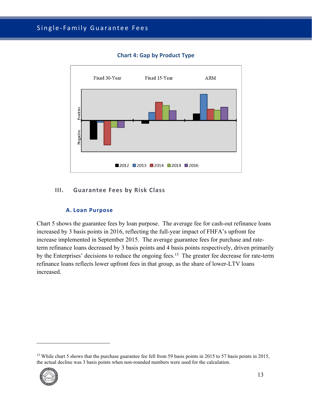

## **Chart 4: Gap by Product Type**

### **III. Guarantee Fees by Risk Class**

#### **A. Loan Purpose**

Chart 5 shows the guarantee fees by loan purpose. The average fee for cash-out refinance loans increased by 3 basis points in 2016, reflecting the full-year impact of FHFA's upfront fee increase implemented in September 2015. The average guarantee fees for purchase and rateterm refinance loans decreased by 3 basis points and 4 basis points respectively, driven primarily by the Enterprises' decisions to reduce the ongoing fees.<sup>15</sup> The greater fee decrease for rate-term refinance loans reflects lower upfront fees in that group, as the share of lower-LTV loans increased.

<sup>&</sup>lt;sup>15</sup> While chart 5 shows that the purchase guarantee fee fell from 59 basis points in 2015 to 57 basis points in 2015, the actual decline was 3 basis points when non-rounded numbers were used for the calculation.



-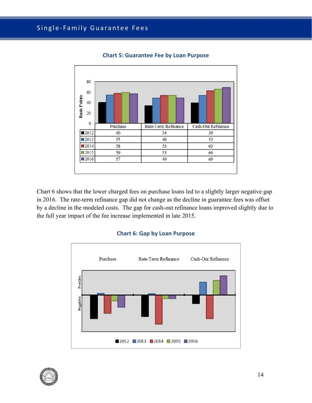

**Chart 5: Guarantee Fee by Loan Purpose** 

Chart 6 shows that the lower charged fees on purchase loans led to a slightly larger negative gap in 2016. The rate-term refinance gap did not change as the decline in guarantee fees was offset by a decline in the modeled costs. The gap for cash-out refinance loans improved slightly due to the full year impact of the fee increase implemented in late 2015.

#### **Chart 6: Gap by Loan Purpose**



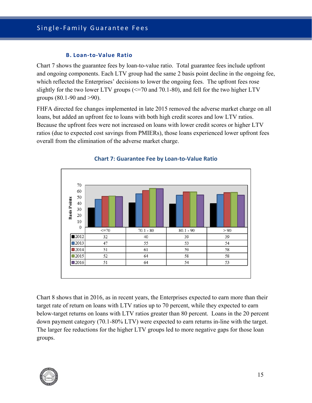#### **B. Loan‐to‐Value Ratio**

Chart 7 shows the guarantee fees by loan-to-value ratio. Total guarantee fees include upfront and ongoing components. Each LTV group had the same 2 basis point decline in the ongoing fee, which reflected the Enterprises' decisions to lower the ongoing fees. The upfront fees rose slightly for the two lower LTV groups  $\ll$  =70 and 70.1-80), and fell for the two higher LTV groups (80.1-90 and >90).

FHFA directed fee changes implemented in late 2015 removed the adverse market charge on all loans, but added an upfront fee to loans with both high credit scores and low LTV ratios. Because the upfront fees were not increased on loans with lower credit scores or higher LTV ratios (due to expected cost savings from PMIERs), those loans experienced lower upfront fees overall from the elimination of the adverse market charge.





Chart 8 shows that in 2016, as in recent years, the Enterprises expected to earn more than their target rate of return on loans with LTV ratios up to 70 percent, while they expected to earn below-target returns on loans with LTV ratios greater than 80 percent. Loans in the 20 percent down payment category (70.1-80% LTV) were expected to earn returns in-line with the target. The larger fee reductions for the higher LTV groups led to more negative gaps for those loan groups.

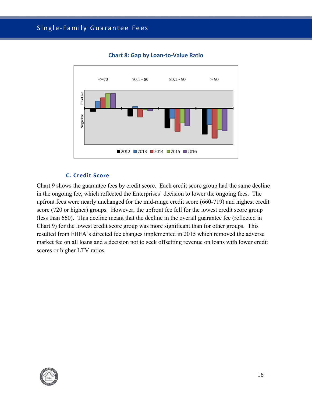

**Chart 8: Gap by Loan‐to‐Value Ratio** 

#### **C. Credit Score**

Chart 9 shows the guarantee fees by credit score. Each credit score group had the same decline in the ongoing fee, which reflected the Enterprises' decision to lower the ongoing fees. The upfront fees were nearly unchanged for the mid-range credit score (660-719) and highest credit score (720 or higher) groups. However, the upfront fee fell for the lowest credit score group (less than 660). This decline meant that the decline in the overall guarantee fee (reflected in Chart 9) for the lowest credit score group was more significant than for other groups. This resulted from FHFA's directed fee changes implemented in 2015 which removed the adverse market fee on all loans and a decision not to seek offsetting revenue on loans with lower credit scores or higher LTV ratios.

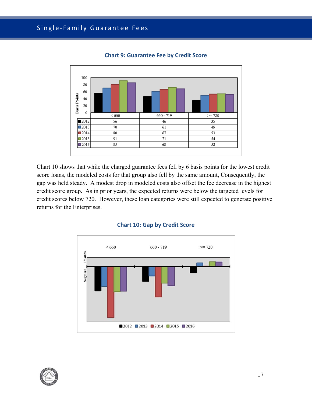

**Chart 9: Guarantee Fee by Credit Score** 

Chart 10 shows that while the charged guarantee fees fell by 6 basis points for the lowest credit score loans, the modeled costs for that group also fell by the same amount, Consequently, the gap was held steady. A modest drop in modeled costs also offset the fee decrease in the highest credit score group. As in prior years, the expected returns were below the targeted levels for credit scores below 720. However, these loan categories were still expected to generate positive returns for the Enterprises.





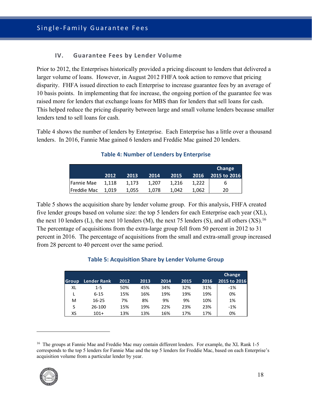#### **IV. Guarantee Fees by Lender Volume**

Prior to 2012, the Enterprises historically provided a pricing discount to lenders that delivered a larger volume of loans. However, in August 2012 FHFA took action to remove that pricing disparity. FHFA issued direction to each Enterprise to increase guarantee fees by an average of 10 basis points. In implementing that fee increase, the ongoing portion of the guarantee fee was raised more for lenders that exchange loans for MBS than for lenders that sell loans for cash. This helped reduce the pricing disparity between large and small volume lenders because smaller lenders tend to sell loans for cash.

Table 4 shows the number of lenders by Enterprise. Each Enterprise has a little over a thousand lenders. In 2016, Fannie Mae gained 6 lenders and Freddie Mac gained 20 lenders.

|             |       |       |       |       |       | Change       |
|-------------|-------|-------|-------|-------|-------|--------------|
|             | 2012  | 2013  | 2014  | 2015  | 2016  | 2015 to 2016 |
| Fannie Mae  | 1.118 | 1.173 | 1.207 | 1,216 | 1,222 | ь            |
| Freddie Mac | 1.019 | 1.055 | 1.078 | 1.042 | 1.062 | 20           |

#### **Table 4: Number of Lenders by Enterprise**

Table 5 shows the acquisition share by lender volume group. For this analysis, FHFA created five lender groups based on volume size: the top 5 lenders for each Enterprise each year (XL), the next 10 lenders (L), the next 10 lenders (M), the next 75 lenders (S), and all others  $(XS)$ .<sup>16</sup> The percentage of acquisitions from the extra-large group fell from 50 percent in 2012 to 31 percent in 2016. The percentage of acquisitions from the small and extra-small group increased from 28 percent to 40 percent over the same period.

|              |                    |      |      |      |      |      | Change       |
|--------------|--------------------|------|------|------|------|------|--------------|
| <b>Group</b> | <b>Lender Rank</b> | 2012 | 2013 | 2014 | 2015 | 2016 | 2015 to 2016 |
| XL           | $1 - 5$            | 50%  | 45%  | 34%  | 32%  | 31%  | $-1\%$       |
|              | $6 - 15$           | 15%  | 16%  | 19%  | 19%  | 19%  | 0%           |
| M            | $16 - 25$          | 7%   | 8%   | 9%   | 9%   | 10%  | 1%           |
| S            | 26-100             | 15%  | 19%  | 22%  | 23%  | 23%  | $-1%$        |
| XS           | $101+$             | 13%  | 13%  | 16%  | 17%  | 17%  | 0%           |

#### **Table 5: Acquisition Share by Lender Volume Group**

<sup>&</sup>lt;sup>16</sup> The groups at Fannie Mae and Freddie Mac may contain different lenders. For example, the XL Rank 1-5 corresponds to the top 5 lenders for Fannie Mae and the top 5 lenders for Freddie Mac, based on each Enterprise's acquisition volume from a particular lender by year.

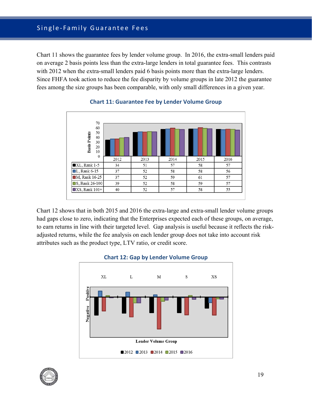Chart 11 shows the guarantee fees by lender volume group. In 2016, the extra-small lenders paid on average 2 basis points less than the extra-large lenders in total guarantee fees. This contrasts with 2012 when the extra-small lenders paid 6 basis points more than the extra-large lenders. Since FHFA took action to reduce the fee disparity by volume groups in late 2012 the guarantee fees among the size groups has been comparable, with only small differences in a given year.



#### **Chart 11: Guarantee Fee by Lender Volume Group**

Chart 12 shows that in both 2015 and 2016 the extra-large and extra-small lender volume groups had gaps close to zero, indicating that the Enterprises expected each of these groups, on average, to earn returns in line with their targeted level. Gap analysis is useful because it reflects the riskadjusted returns, while the fee analysis on each lender group does not take into account risk attributes such as the product type, LTV ratio, or credit score.



#### **Chart 12: Gap by Lender Volume Group**